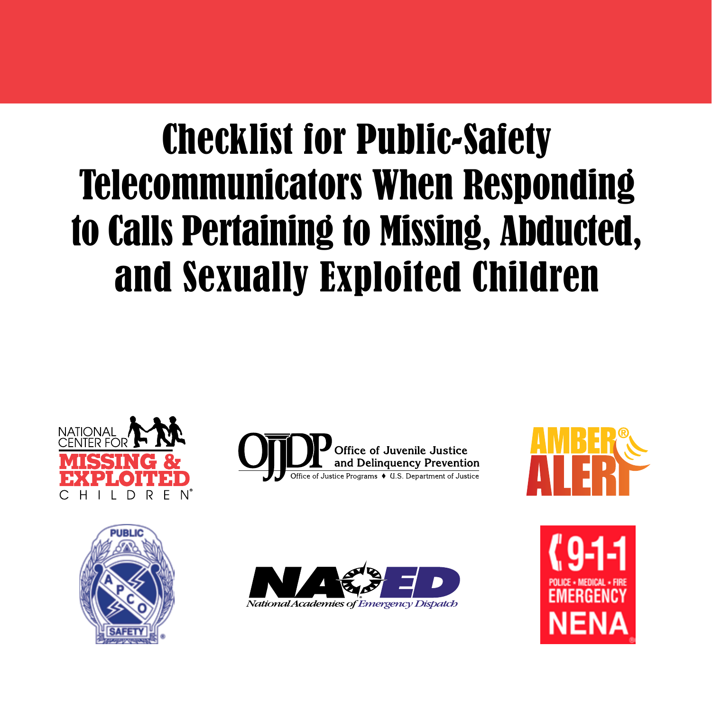# Checklist for Public-Safety Telecommunicators When Responding to Calls Pertaining to Missing, Abducted, and Sexually Exploited Children









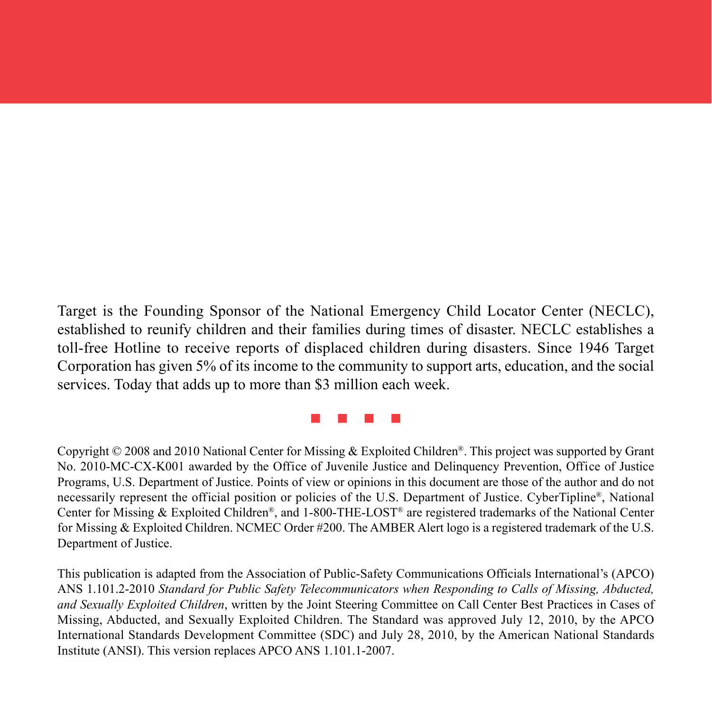Target is the Founding Sponsor of the National Emergency Child Locator Center (NECLC), established to reunify children and their families during times of disaster. NECLC establishes a toll-free Hotline to receive reports of displaced children during disasters. Since 1946 Target Corporation has given 5% of its income to the community to support arts, education, and the social services. Today that adds up to more than \$3 million each week.

n n n n

Copyright © 2008 and 2010 National Center for Missing & Exploited Children®. This project was supported by Grant No. 2010-MC-CX-K001 awarded by the Office of Juvenile Justice and Delinquency Prevention, Office of Justice Programs, U.S. Department of Justice. Points of view or opinions in this document are those of the author and do not necessarily represent the official position or policies of the U.S. Department of Justice. CyberTipline®, National Center for Missing & Exploited Children®, and 1-800-THE-LOST® are registered trademarks of the National Center for Missing & Exploited Children. NCMEC Order #200. The AMBER Alert logo is a registered trademark of the U.S. Department of Justice.

This publication is adapted from the Association of Public-Safety Communications Officials International's (APCO) ANS 1.101.2-2010 *Standard for Public Safety Telecommunicators when Responding to Calls of Missing, Abducted, and Sexually Exploited Children*, written by the Joint Steering Committee on Call Center Best Practices in Cases of Missing, Abducted, and Sexually Exploited Children. The Standard was approved July 12, 2010, by the APCO International Standards Development Committee (SDC) and July 28, 2010, by the American National Standards Institute (ANSI). This version replaces APCO ANS 1.101.1-2007.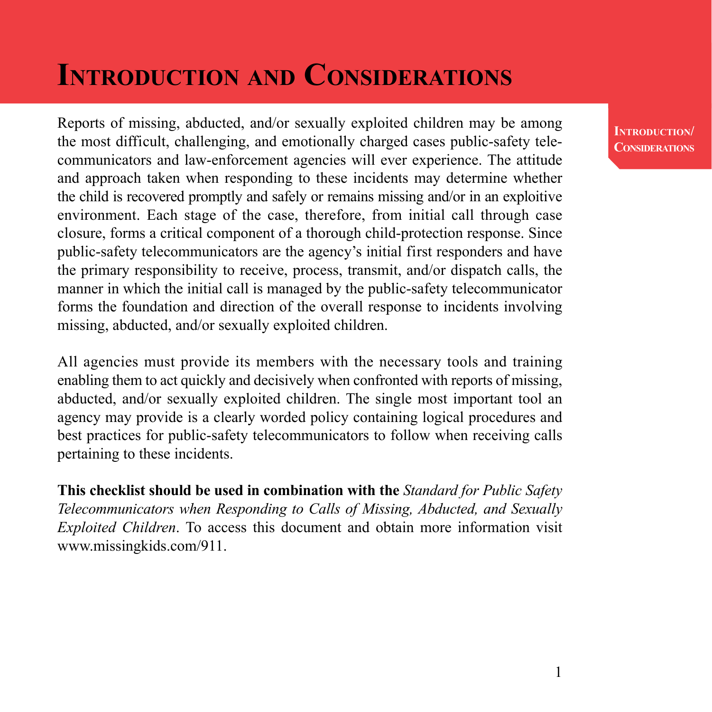## **Introduction and Considerations**

Reports of missing, abducted, and/or sexually exploited children may be among the most difficult, challenging, and emotionally charged cases public-safety telecommunicators and law-enforcement agencies will ever experience. The attitude and approach taken when responding to these incidents may determine whether the child is recovered promptly and safely or remains missing and/or in an exploitive environment. Each stage of the case, therefore, from initial call through case closure, forms a critical component of a thorough child-protection response. Since public-safety telecommunicators are the agency's initial first responders and have the primary responsibility to receive, process, transmit, and/or dispatch calls, the manner in which the initial call is managed by the public-safety telecommunicator forms the foundation and direction of the overall response to incidents involving missing, abducted, and/or sexually exploited children.

All agencies must provide its members with the necessary tools and training enabling them to act quickly and decisively when confronted with reports of missing, abducted, and/or sexually exploited children. The single most important tool an agency may provide is a clearly worded policy containing logical procedures and best practices for public-safety telecommunicators to follow when receiving calls pertaining to these incidents.

**This checklist should be used in combination with the** *Standard for Public Safety Telecommunicators when Responding to Calls of Missing, Abducted, and Sexually Exploited Children*. To access this document and obtain more information visit www.missingkids.com/911.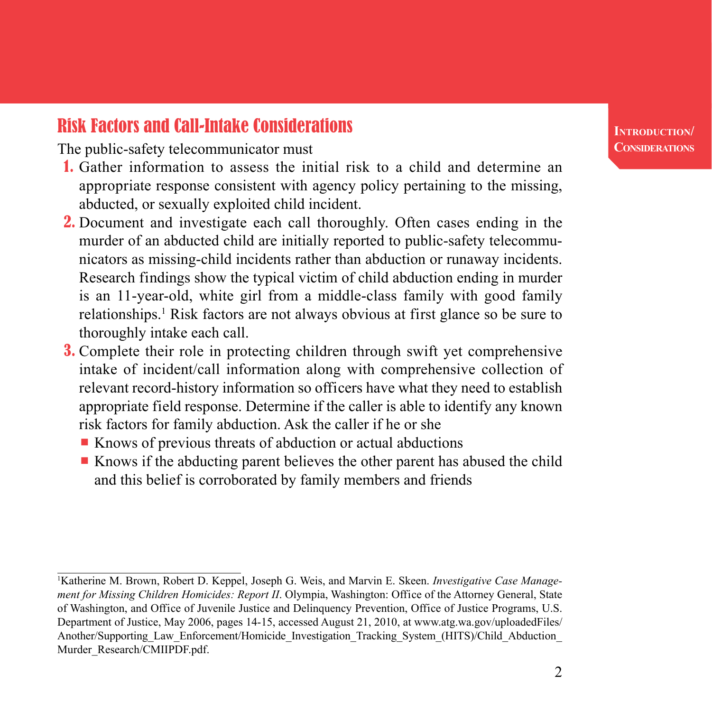## Risk Factors and Call-Intake Considerations

The public-safety telecommunicator must

- 1. Gather information to assess the initial risk to a child and determine an appropriate response consistent with agency policy pertaining to the missing, abducted, or sexually exploited child incident.
- 2. Document and investigate each call thoroughly. Often cases ending in the murder of an abducted child are initially reported to public-safety telecommunicators as missing-child incidents rather than abduction or runaway incidents. Research findings show the typical victim of child abduction ending in murder is an 11-year-old, white girl from a middle-class family with good family relationships.<sup>1</sup> Risk factors are not always obvious at first glance so be sure to thoroughly intake each call.
- 3. Complete their role in protecting children through swift yet comprehensive intake of incident/call information along with comprehensive collection of relevant record-history information so officers have what they need to establish appropriate field response. Determine if the caller is able to identify any known risk factors for family abduction. Ask the caller if he or she
	- $\blacksquare$  Knows of previous threats of abduction or actual abductions
	- $\blacksquare$  Knows if the abducting parent believes the other parent has abused the child and this belief is corroborated by family members and friends

Katherine M. Brown, Robert D. Keppel, Joseph G. Weis, and Marvin E. Skeen. *Investigative Case Management for Missing Children Homicides: Report II*. Olympia, Washington: Office of the Attorney General, State of Washington, and Office of Juvenile Justice and Delinquency Prevention, Office of Justice Programs, U.S. Department of Justice, May 2006, pages 14-15, accessed August 21, 2010, at www.atg.wa.gov/uploadedFiles/ Another/Supporting\_Law\_Enforcement/Homicide\_Investigation\_Tracking\_System\_(HITS)/Child\_Abduction\_ Murder\_Research/CMIIPDF.pdf.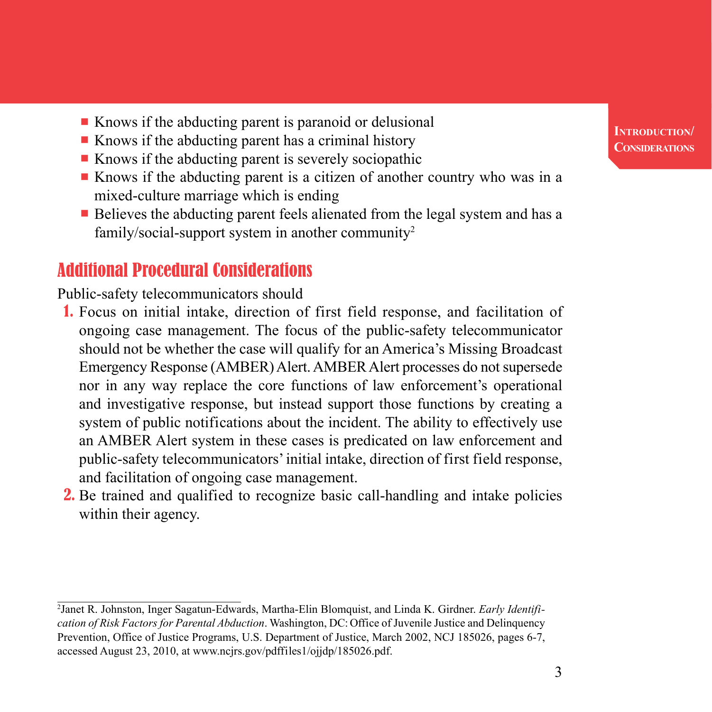- $\blacksquare$  Knows if the abducting parent is paranoid or delusional
- $\blacksquare$  Knows if the abducting parent has a criminal history
- $\blacksquare$  Knows if the abducting parent is severely sociopathic
- Knows if the abducting parent is a citizen of another country who was in a mixed-culture marriage which is ending
- $\blacksquare$  Believes the abducting parent feels alienated from the legal system and has a family/social-support system in another community2

## Additional Procedural Considerations

Public-safety telecommunicators should

- 1. Focus on initial intake, direction of first field response, and facilitation of ongoing case management. The focus of the public-safety telecommunicator should not be whether the case will qualify for an America's Missing Broadcast Emergency Response (AMBER) Alert. AMBER Alert processes do not supersede nor in any way replace the core functions of law enforcement's operational and investigative response, but instead support those functions by creating a system of public notifications about the incident. The ability to effectively use an AMBER Alert system in these cases is predicated on law enforcement and public-safety telecommunicators' initial intake, direction of first field response, and facilitation of ongoing case management.
- 2. Be trained and qualified to recognize basic call-handling and intake policies within their agency.

<sup>2</sup> Janet R. Johnston, Inger Sagatun-Edwards, Martha-Elin Blomquist, and Linda K. Girdner. *Early Identification of Risk Factors for Parental Abduction*. Washington, DC: Office of Juvenile Justice and Delinquency Prevention, Office of Justice Programs, U.S. Department of Justice, March 2002, NCJ 185026, pages 6-7, accessed August 23, 2010, at www.ncjrs.gov/pdffiles1/ojjdp/185026.pdf.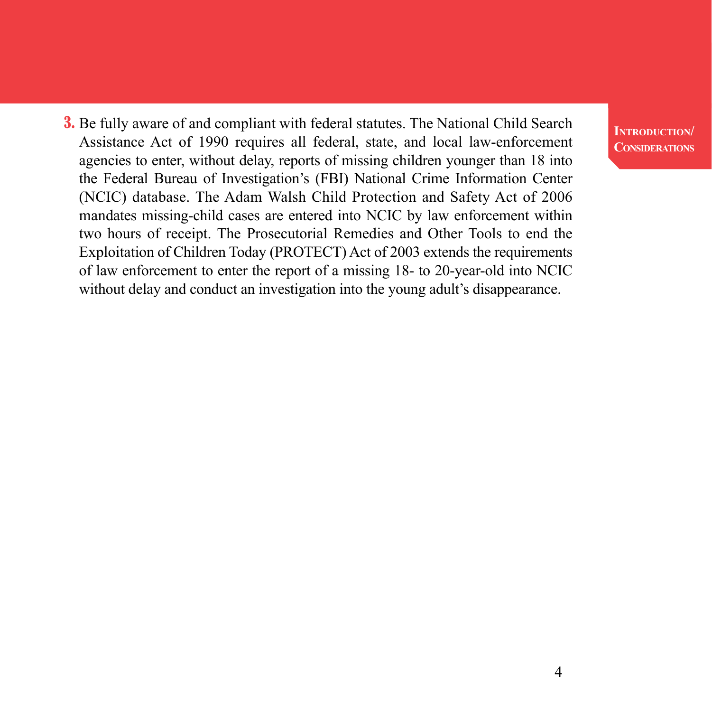3. Be fully aware of and compliant with federal statutes. The National Child Search Assistance Act of 1990 requires all federal, state, and local law-enforcement agencies to enter, without delay, reports of missing children younger than 18 into the Federal Bureau of Investigation's (FBI) National Crime Information Center (NCIC) database. The Adam Walsh Child Protection and Safety Act of 2006 mandates missing-child cases are entered into NCIC by law enforcement within two hours of receipt. The Prosecutorial Remedies and Other Tools to end the Exploitation of Children Today (PROTECT) Act of 2003 extends the requirements of law enforcement to enter the report of a missing 18- to 20-year-old into NCIC without delay and conduct an investigation into the young adult's disappearance.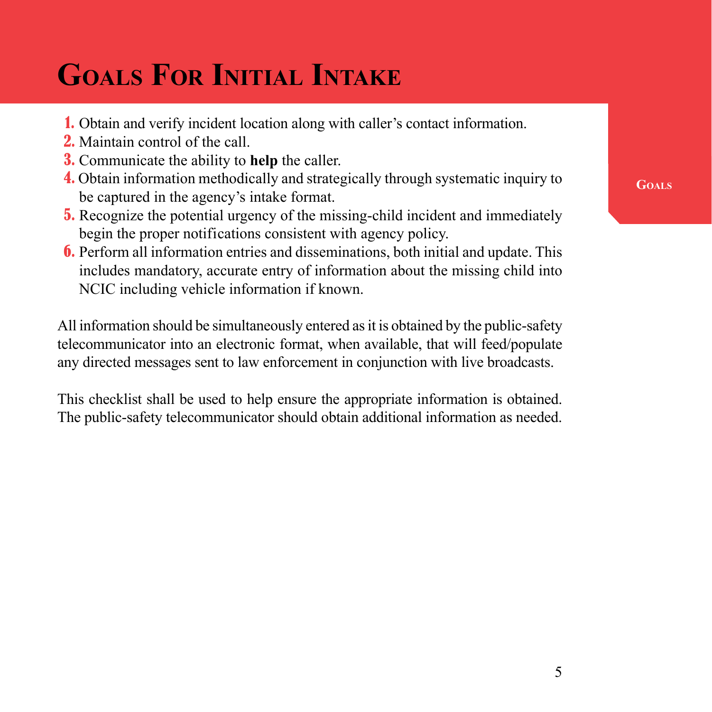## **Goals For Initial Intake**

- 1. Obtain and verify incident location along with caller's contact information.
- 2. Maintain control of the call.
- 3. Communicate the ability to **help** the caller.
- 4. Obtain information methodically and strategically through systematic inquiry to be captured in the agency's intake format.
- 5. Recognize the potential urgency of the missing-child incident and immediately begin the proper notifications consistent with agency policy.
- 6. Perform all information entries and disseminations, both initial and update. This includes mandatory, accurate entry of information about the missing child into NCIC including vehicle information if known.

All information should be simultaneously entered as it is obtained by the public-safety telecommunicator into an electronic format, when available, that will feed/populate any directed messages sent to law enforcement in conjunction with live broadcasts.

This checklist shall be used to help ensure the appropriate information is obtained. The public-safety telecommunicator should obtain additional information as needed. **Goals**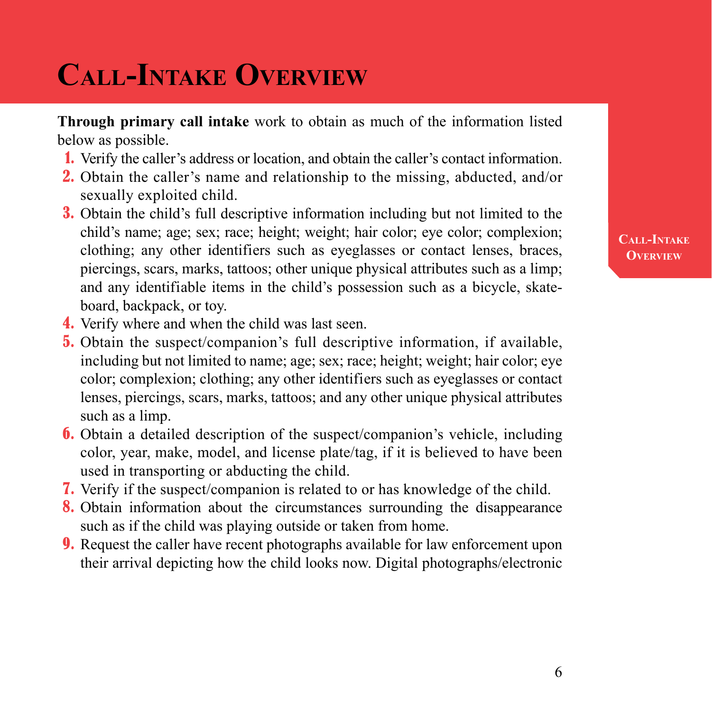## **Call-Intake Overview**

**Through primary call intake** work to obtain as much of the information listed below as possible.

- 1. Verify the caller's address or location, and obtain the caller's contact information.
- 2. Obtain the caller's name and relationship to the missing, abducted, and/or sexually exploited child.
- 3. Obtain the child's full descriptive information including but not limited to the child's name; age; sex; race; height; weight; hair color; eye color; complexion; clothing; any other identifiers such as eyeglasses or contact lenses, braces, piercings, scars, marks, tattoos; other unique physical attributes such as a limp; and any identifiable items in the child's possession such as a bicycle, skateboard, backpack, or toy.
- 4. Verify where and when the child was last seen.
- 5. Obtain the suspect/companion's full descriptive information, if available, including but not limited to name; age; sex; race; height; weight; hair color; eye color; complexion; clothing; any other identifiers such as eyeglasses or contact lenses, piercings, scars, marks, tattoos; and any other unique physical attributes such as a limp.
- 6. Obtain a detailed description of the suspect/companion's vehicle, including color, year, make, model, and license plate/tag, if it is believed to have been used in transporting or abducting the child.
- 7. Verify if the suspect/companion is related to or has knowledge of the child.
- 8. Obtain information about the circumstances surrounding the disappearance such as if the child was playing outside or taken from home.
- 9. Request the caller have recent photographs available for law enforcement upon their arrival depicting how the child looks now. Digital photographs/electronic

#### **Call-Intake Overview**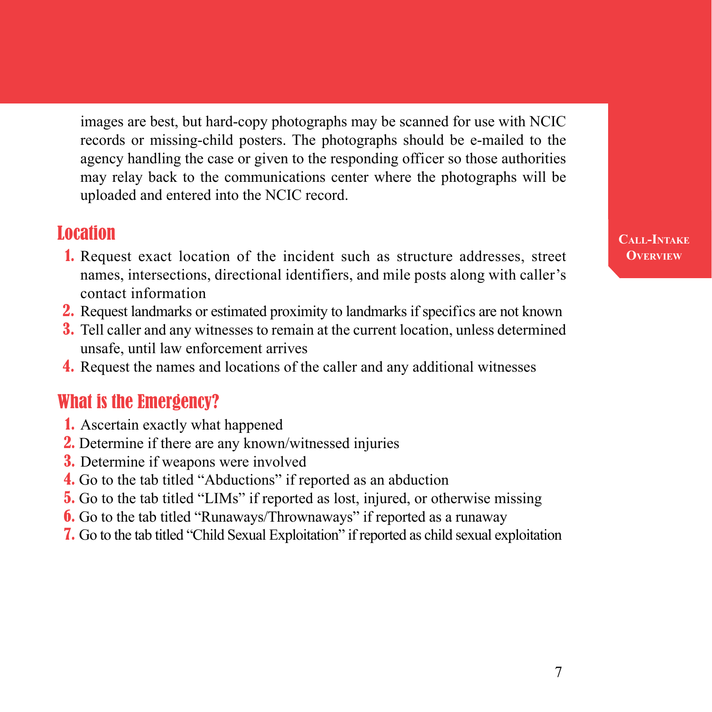images are best, but hard-copy photographs may be scanned for use with NCIC records or missing-child posters. The photographs should be e-mailed to the agency handling the case or given to the responding officer so those authorities may relay back to the communications center where the photographs will be uploaded and entered into the NCIC record.

### **Location**

- 1. Request exact location of the incident such as structure addresses, street names, intersections, directional identifiers, and mile posts along with caller's contact information
- 2. Request landmarks or estimated proximity to landmarks if specifics are not known
- 3. Tell caller and any witnesses to remain at the current location, unless determined unsafe, until law enforcement arrives
- 4. Request the names and locations of the caller and any additional witnesses

### What is the Emergency?

- 1. Ascertain exactly what happened
- 2. Determine if there are any known/witnessed injuries
- 3. Determine if weapons were involved
- 4. Go to the tab titled "Abductions" if reported as an abduction
- 5. Go to the tab titled "LIMs" if reported as lost, injured, or otherwise missing
- 6. Go to the tab titled "Runaways/Thrownaways" if reported as a runaway
- 7. Go to the tab titled "Child Sexual Exploitation" if reported as child sexual exploitation

#### **Call-Intake Overview**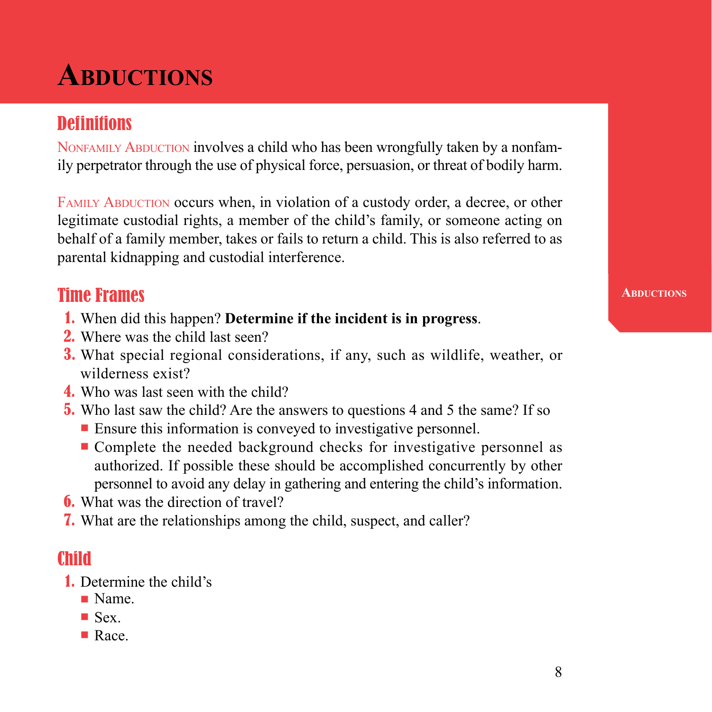## **Abductions**

## **Definitions**

NONFAMILY ABDUCTION involves a child who has been wrongfully taken by a nonfamily perpetrator through the use of physical force, persuasion, or threat of bodily harm.

FAMILY ABDUCTION occurs when, in violation of a custody order, a decree, or other legitimate custodial rights, a member of the child's family, or someone acting on behalf of a family member, takes or fails to return a child. This is also referred to as parental kidnapping and custodial interference.

## Time Frames

- 1. When did this happen? **Determine if the incident is in progress**.
- 2. Where was the child last seen?
- 3. What special regional considerations, if any, such as wildlife, weather, or wilderness exist?
- 4. Who was last seen with the child?
- 5. Who last saw the child? Are the answers to questions 4 and 5 the same? If so
	- Ensure this information is conveyed to investigative personnel.
	- Complete the needed background checks for investigative personnel as authorized. If possible these should be accomplished concurrently by other personnel to avoid any delay in gathering and entering the child's information.
- 6. What was the direction of travel?
- 7. What are the relationships among the child, suspect, and caller?

## Child

- 1. Determine the child's
	- n Name.
	- $\blacksquare$  Sex.
	- **n** Race.

**ABDUCTIONS**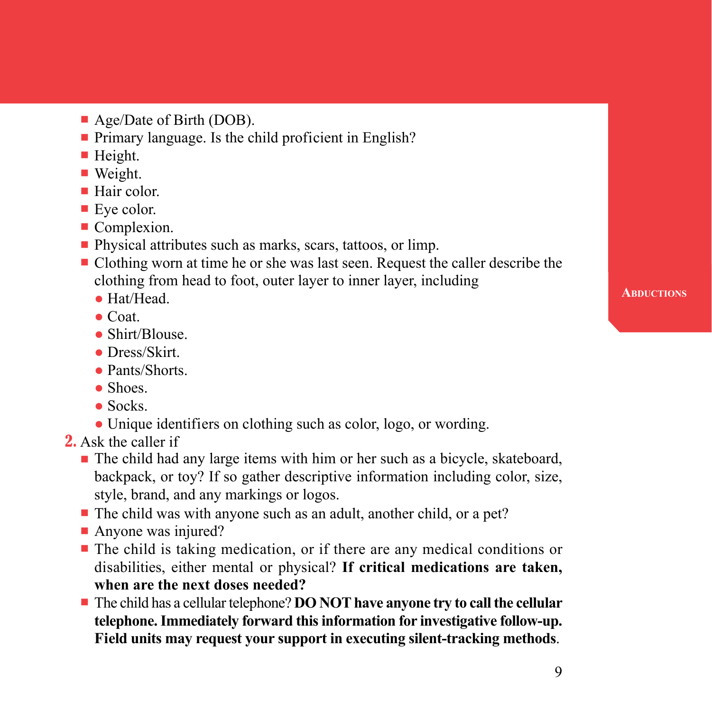- $\blacksquare$  Age/Date of Birth (DOB).
- $\blacksquare$  Primary language. Is the child proficient in English?
- $\blacksquare$  Height.
- Weight.
- $\blacksquare$  Hair color.
- $\blacksquare$  Eye color.
- **Complexion.**
- Physical attributes such as marks, scars, tattoos, or limp.
- Clothing worn at time he or she was last seen. Request the caller describe the clothing from head to foot, outer layer to inner layer, including
	- Hat/Head
	- $\bullet$  Coat.
	- Shirt/Blouse.
	- Dress/Skirt.
	- Pants/Shorts
	- Shoes.
	- $\bullet$  Socks.
	- Unique identifiers on clothing such as color, logo, or wording.
- 2. Ask the caller if
	- n The child had any large items with him or her such as a bicycle, skateboard, backpack, or toy? If so gather descriptive information including color, size, style, brand, and any markings or logos.
	- The child was with anyone such as an adult, another child, or a pet?
	- $\blacksquare$  Anyone was injured?
	- n The child is taking medication, or if there are any medical conditions or disabilities, either mental or physical? **If critical medications are taken, when are the next doses needed?**
	- **n** The child has a cellular telephone? **DO NOT have anyone try to call the cellular telephone. Immediately forward this information for investigative follow-up. Field units may request your support in executing silent-tracking methods**.

**ABDUCTIONS**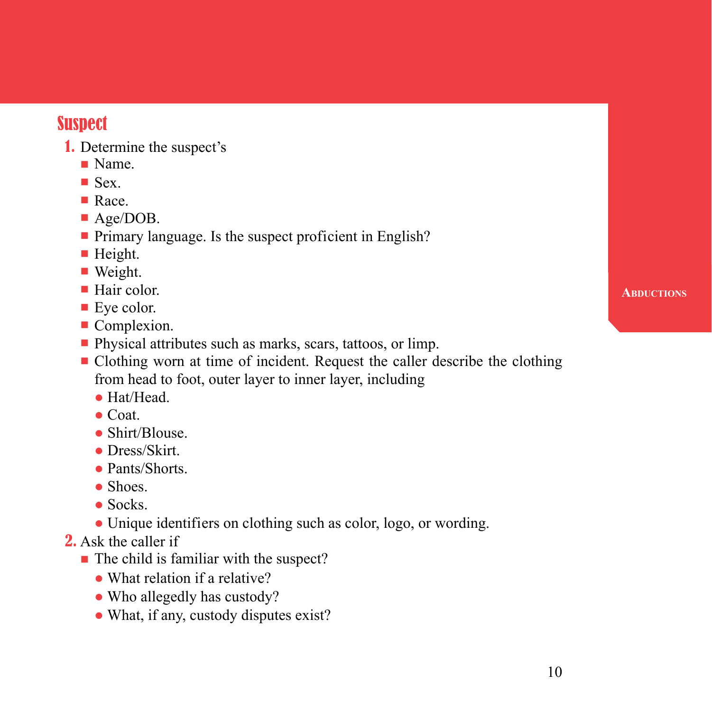## **Suspect**

- 1. Determine the suspect's
	- **Name**
	- $\blacksquare$  Sex.
	- **n** Race.
	- Age/DOB.
	- Primary language. Is the suspect proficient in English?
	- $\blacksquare$  Height.
	- $\blacksquare$  Weight.
	- $\blacksquare$  Hair color.
	- $\blacksquare$  Eve color.
	- **Complexion.**
	- **n** Physical attributes such as marks, scars, tattoos, or limp.
	- n Clothing worn at time of incident. Request the caller describe the clothing from head to foot, outer layer to inner layer, including
		- Hat/Head.
		- $\bullet$  Coat.
		- Shirt/Blouse
		- Dress/Skirt.
		- Pants/Shorts
		- Shoes
		- Socks.
		- Unique identifiers on clothing such as color, logo, or wording.
- 2. Ask the caller if
	- $\blacksquare$  The child is familiar with the suspect?
		- What relation if a relative?
		- Who allegedly has custody?
		- What, if any, custody disputes exist?

#### **Abductions**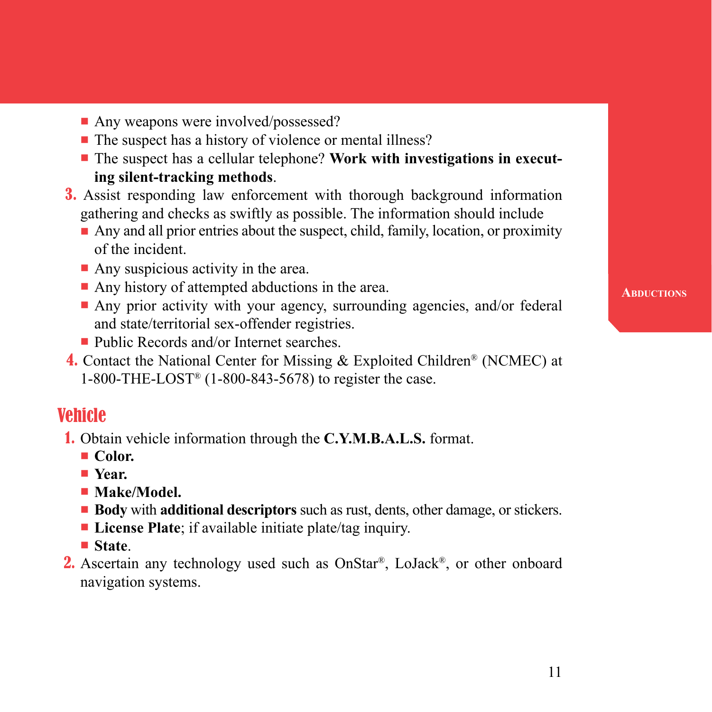- Any weapons were involved/possessed?
- The suspect has a history of violence or mental illness?
- **n** The suspect has a cellular telephone? Work with investigations in execut**ing silent-tracking methods**.
- 3. Assist responding law enforcement with thorough background information gathering and checks as swiftly as possible. The information should include
	- $\blacksquare$  Any and all prior entries about the suspect, child, family, location, or proximity of the incident.
	- $\blacksquare$  Any suspicious activity in the area.
	- $\blacksquare$  Any history of attempted abductions in the area.
	- Any prior activity with your agency, surrounding agencies, and/or federal and state/territorial sex-offender registries.
	- Public Records and/or Internet searches
- 4. Contact the National Center for Missing & Exploited Children® (NCMEC) at 1-800-THE-LOST® (1-800-843-5678) to register the case.

## Vehicle

- 1. Obtain vehicle information through the **C.Y.M.B.A.L.S.** format.
	- Color.
	- Year.
	- **Nake/Model.**
	- **Body** with **additional descriptors** such as rust, dents, other damage, or stickers.
	- **License Plate**; if available initiate plate/tag inquiry.
	- n **State**.
- **2.** Ascertain any technology used such as OnStar<sup>®</sup>, LoJack<sup>®</sup>, or other onboard navigation systems.

**ABDUCTIONS**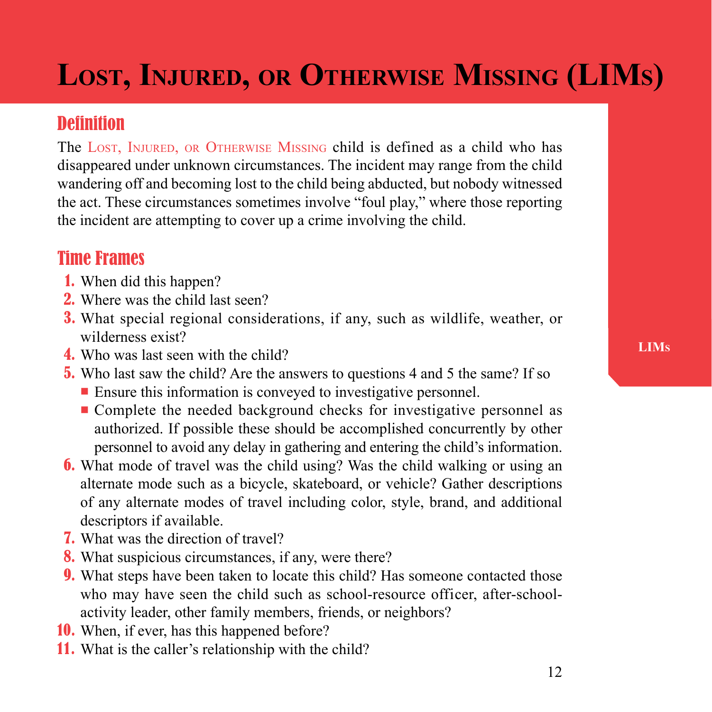## **Lost, Injured, or Otherwise Missing (LIMs)**

## **Definition**

The LOST, INJURED, OR OTHERWISE MISSING child is defined as a child who has disappeared under unknown circumstances. The incident may range from the child wandering off and becoming lost to the child being abducted, but nobody witnessed the act. These circumstances sometimes involve "foul play," where those reporting the incident are attempting to cover up a crime involving the child.

## Time Frames

- 1. When did this happen?
- 2. Where was the child last seen?
- 3. What special regional considerations, if any, such as wildlife, weather, or wilderness exist?
- 4. Who was last seen with the child?
- 5. Who last saw the child? Are the answers to questions 4 and 5 the same? If so
	- $\blacksquare$  Ensure this information is conveyed to investigative personnel.
	- n Complete the needed background checks for investigative personnel as authorized. If possible these should be accomplished concurrently by other personnel to avoid any delay in gathering and entering the child's information.
- 6. What mode of travel was the child using? Was the child walking or using an alternate mode such as a bicycle, skateboard, or vehicle? Gather descriptions of any alternate modes of travel including color, style, brand, and additional descriptors if available.
- 7. What was the direction of travel?
- 8. What suspicious circumstances, if any, were there?
- 9. What steps have been taken to locate this child? Has someone contacted those who may have seen the child such as school-resource officer, after-schoolactivity leader, other family members, friends, or neighbors?
- 10. When, if ever, has this happened before?
- 11. What is the caller's relationship with the child?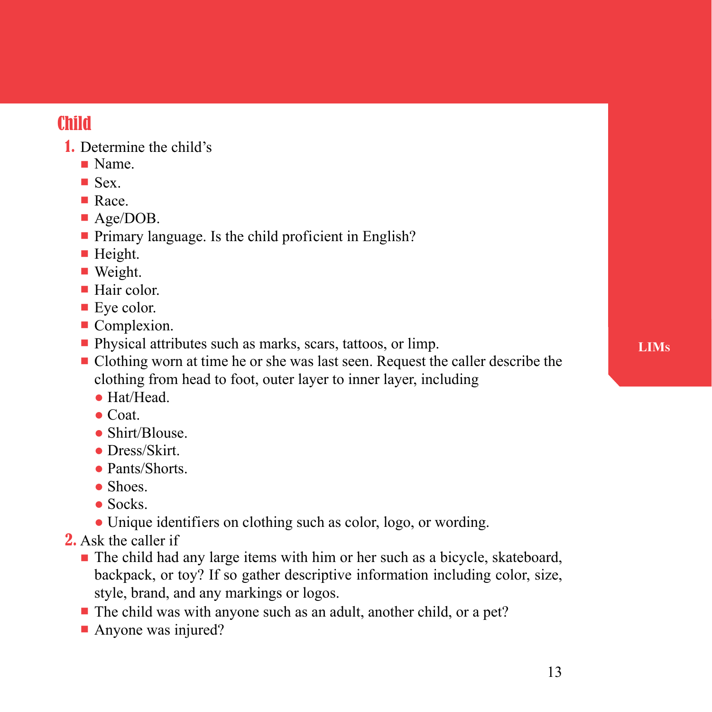## Child

- 1. Determine the child's
	- n Name.
	- $\blacksquare$  Sex.
	- **n** Race.
	- Age/DOB.
	- $\blacksquare$  Primary language. Is the child proficient in English?
	- $\blacksquare$  Height.
	- $\blacksquare$  Weight.
	- $\blacksquare$  Hair color.
	- $\blacksquare$  Eve color.
	- **Complexion.**
	- **n** Physical attributes such as marks, scars, tattoos, or limp.
	- Clothing worn at time he or she was last seen. Request the caller describe the clothing from head to foot, outer layer to inner layer, including
		- Hat/Head.
		- $\bullet$  Coat.
		- Shirt/Blouse.
		- Dress/Skirt.
		- Pants/Shorts
		- Shoes
		- $\bullet$  Socks.
		- Unique identifiers on clothing such as color, logo, or wording.
- 2. Ask the caller if
	- n The child had any large items with him or her such as a bicycle, skateboard, backpack, or toy? If so gather descriptive information including color, size, style, brand, and any markings or logos.
	- $\blacksquare$  The child was with anyone such as an adult, another child, or a pet?
	- Anyone was injured?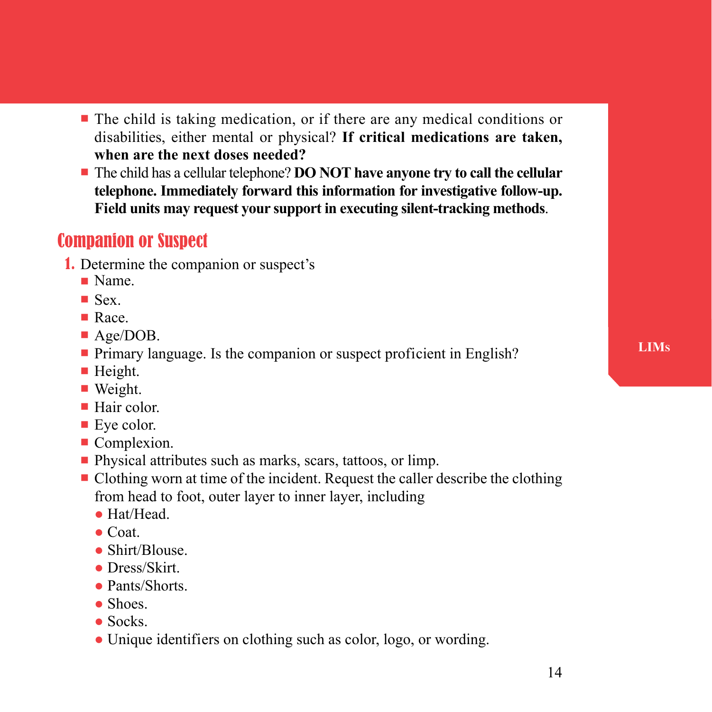- $\blacksquare$  The child is taking medication, or if there are any medical conditions or disabilities, either mental or physical? **If critical medications are taken, when are the next doses needed?**
- **-** The child has a cellular telephone? **DO NOT have anyone try to call the cellular telephone. Immediately forward this information for investigative follow-up. Field units may request your support in executing silent-tracking methods**.

## Companion or Suspect

- 1. Determine the companion or suspect's
	- $\blacksquare$  Name.
	- $\blacksquare$  Sex.
	- $\blacksquare$  Race.
	- Age/DOB.
	- Primary language. Is the companion or suspect proficient in English?
	- $\blacksquare$  Height.
	- Weight.
	- $\blacksquare$  Hair color.
	- **Eye color.**
	- **Complexion.**
	- Physical attributes such as marks, scars, tattoos, or limp.
	- n Clothing worn at time of the incident. Request the caller describe the clothing from head to foot, outer layer to inner layer, including
		- Hat/Head
		- $\bullet$  Coat.
		- Shirt/Blouse
		- Dress/Skirt.
		- Pants/Shorts
		- Shoes.
		- $\bullet$  Socks.
		- Unique identifiers on clothing such as color, logo, or wording.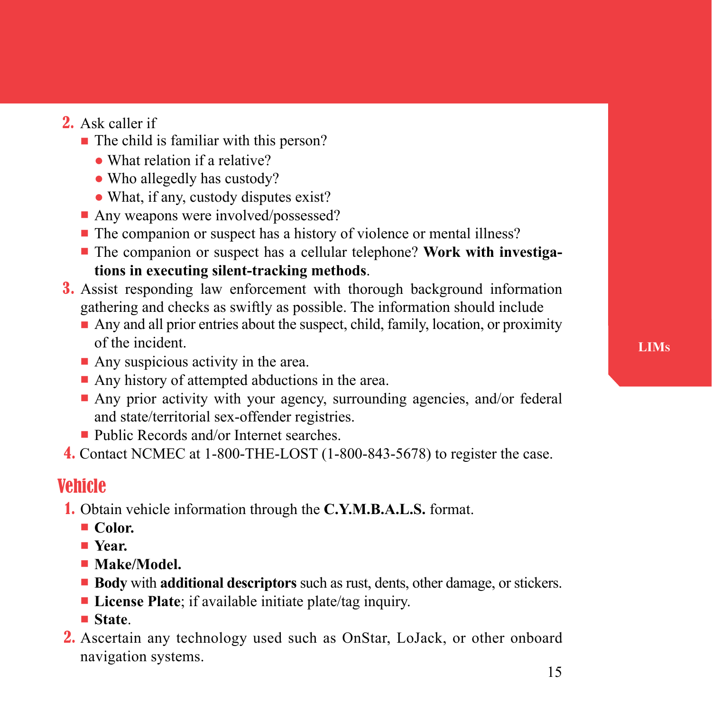- 2. Ask caller if
	- $\blacksquare$  The child is familiar with this person?
		- What relation if a relative?
		- Who allegedly has custody?
		- What, if any, custody disputes exist?
	- Any weapons were involved/possessed?
	- The companion or suspect has a history of violence or mental illness?
	- **n** The companion or suspect has a cellular telephone? Work with investiga**tions in executing silent-tracking methods**.
- 3. Assist responding law enforcement with thorough background information gathering and checks as swiftly as possible. The information should include
	- n Any and all prior entries about the suspect, child, family, location, or proximity of the incident.
	- $\blacksquare$  Any suspicious activity in the area.
	- $\blacksquare$  Any history of attempted abductions in the area.
	- Any prior activity with your agency, surrounding agencies, and/or federal and state/territorial sex-offender registries.
	- $\blacksquare$  Public Records and/or Internet searches.
- 4. Contact NCMEC at 1-800-THE-LOST (1-800-843-5678) to register the case.

### Vehicle

- 1. Obtain vehicle information through the **C.Y.M.B.A.L.S.** format.
	- Color.
	- n **Year.**
	- **Nake/Model.**
	- **Body** with **additional descriptors** such as rust, dents, other damage, or stickers.
	- **License Plate**; if available initiate plate/tag inquiry.
	- n **State**.
- 2. Ascertain any technology used such as OnStar, LoJack, or other onboard navigation systems.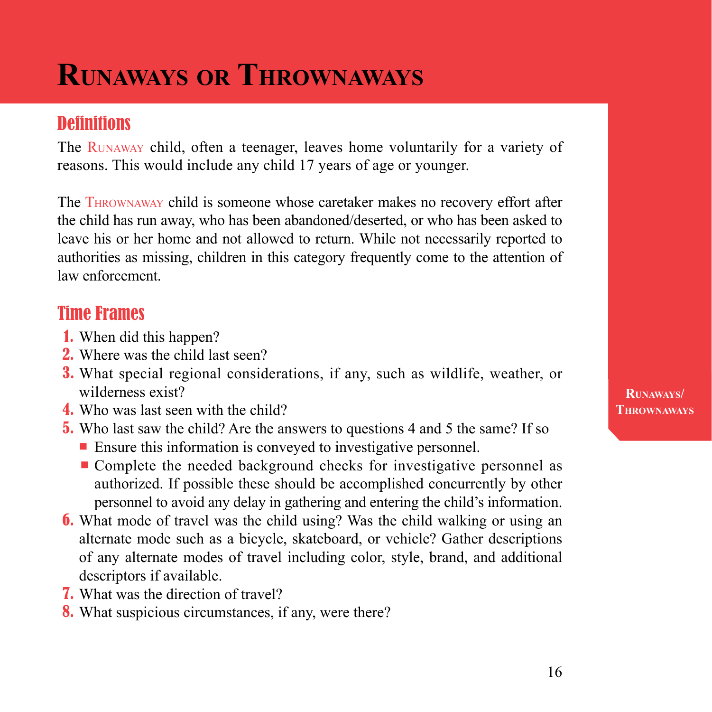## **Runaways or Thrownaways**

## **Definitions**

The Runaway child, often a teenager, leaves home voluntarily for a variety of reasons. This would include any child 17 years of age or younger.

The Thrownaway child is someone whose caretaker makes no recovery effort after the child has run away, who has been abandoned/deserted, or who has been asked to leave his or her home and not allowed to return. While not necessarily reported to authorities as missing, children in this category frequently come to the attention of law enforcement.

## Time Frames

- 1. When did this happen?
- 2. Where was the child last seen?
- 3. What special regional considerations, if any, such as wildlife, weather, or wilderness exist?
- 4. Who was last seen with the child?
- 5. Who last saw the child? Are the answers to questions 4 and 5 the same? If so
	- Ensure this information is conveyed to investigative personnel.
	- Complete the needed background checks for investigative personnel as authorized. If possible these should be accomplished concurrently by other personnel to avoid any delay in gathering and entering the child's information.
- 6. What mode of travel was the child using? Was the child walking or using an alternate mode such as a bicycle, skateboard, or vehicle? Gather descriptions of any alternate modes of travel including color, style, brand, and additional descriptors if available.
- 7. What was the direction of travel?
- 8. What suspicious circumstances, if any, were there?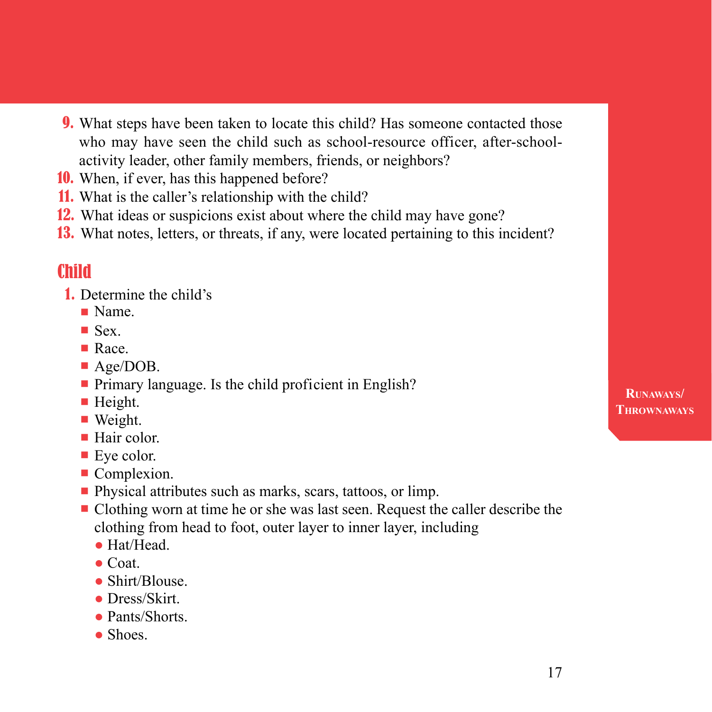- 9. What steps have been taken to locate this child? Has someone contacted those who may have seen the child such as school-resource officer, after-schoolactivity leader, other family members, friends, or neighbors?
- 10. When, if ever, has this happened before?
- 11. What is the caller's relationship with the child?
- 12. What ideas or suspicions exist about where the child may have gone?
- 13. What notes, letters, or threats, if any, were located pertaining to this incident?

## Child

- 1. Determine the child's
	- **Name**
	- $\blacksquare$  Sex.
	- $\blacksquare$  Race.
	- Age/DOB.
	- Primary language. Is the child proficient in English?
	- $\blacksquare$  Height.
	- $\blacksquare$  Weight.
	- $\blacksquare$  Hair color.
	- $\blacksquare$  Eye color.
	- **Complexion.**
	- Physical attributes such as marks, scars, tattoos, or limp.
	- n Clothing worn at time he or she was last seen. Request the caller describe the clothing from head to foot, outer layer to inner layer, including
		- Hat/Head.
		- $\bullet$  Coat.
		- Shirt/Blouse
		- Dress/Skirt.
		- Pants/Shorts
		- Shoes.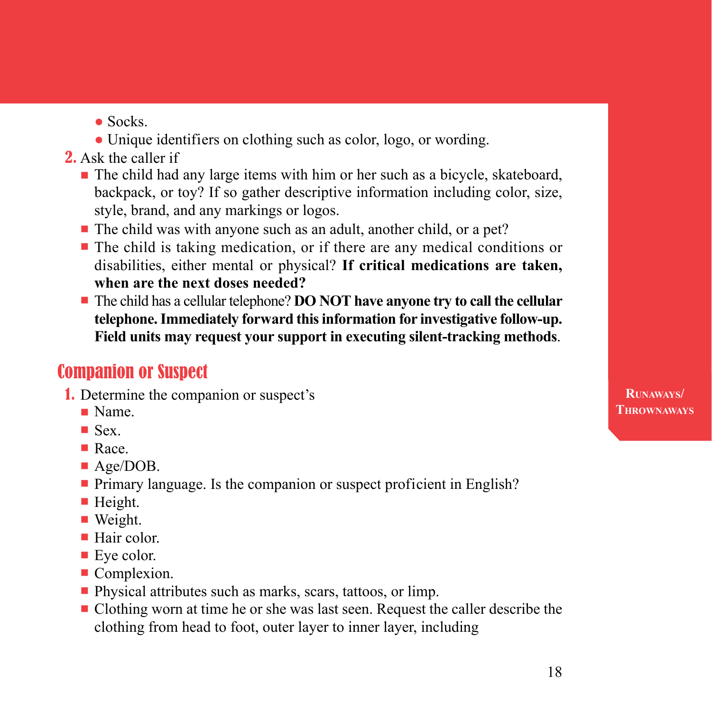- $\bullet$  Socks.
- Unique identifiers on clothing such as color, logo, or wording.
- 2. Ask the caller if
	- n The child had any large items with him or her such as a bicycle, skateboard, backpack, or toy? If so gather descriptive information including color, size, style, brand, and any markings or logos.
	- The child was with anyone such as an adult, another child, or a pet?
	- n The child is taking medication, or if there are any medical conditions or disabilities, either mental or physical? **If critical medications are taken, when are the next doses needed?**
	- n The child has a cellular telephone? **DO NOT have anyone try to call the cellular telephone. Immediately forward this information for investigative follow-up. Field units may request your support in executing silent-tracking methods**.

## Companion or Suspect

- 1. Determine the companion or suspect's
	- **n** Name.
	- $\blacksquare$  Sex.
	- Race.
	- Age/DOB.
	- Primary language. Is the companion or suspect proficient in English?
	- $\blacksquare$  Height.
	- $\blacksquare$  Weight.
	- $\blacksquare$  Hair color.
	- $\blacksquare$  Eye color.
	- **Complexion.**
	- Physical attributes such as marks, scars, tattoos, or limp.
	- n Clothing worn at time he or she was last seen. Request the caller describe the clothing from head to foot, outer layer to inner layer, including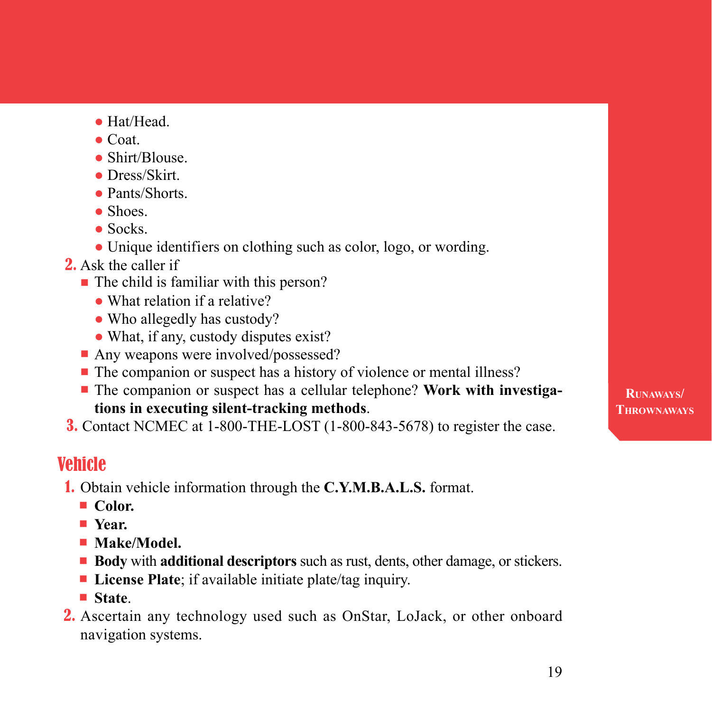- Hat/Head.
- $\bullet$  Coat.
- Shirt/Blouse
- Dress/Skirt
- Pants/Shorts.
- Shoes.
- $\bullet$  Socks.
- Unique identifiers on clothing such as color, logo, or wording.
- 2. Ask the caller if
	- The child is familiar with this person?
		- What relation if a relative?
		- Who allegedly has custody?
		- What, if any, custody disputes exist?
	- Any weapons were involved/possessed?
	- The companion or suspect has a history of violence or mental illness?
	- **-** The companion or suspect has a cellular telephone? Work with investiga**tions in executing silent-tracking methods**.
- 3. Contact NCMEC at 1-800-THE-LOST (1-800-843-5678) to register the case.

## Vehicle

- 1. Obtain vehicle information through the **C.Y.M.B.A.L.S.** format.
	- Color.
	- n **Year.**
	- **Nake/Model.**
	- **Body** with **additional descriptors** such as rust, dents, other damage, or stickers.
	- License Plate; if available initiate plate/tag inquiry.
	- **State**
- 2. Ascertain any technology used such as OnStar, LoJack, or other onboard navigation systems.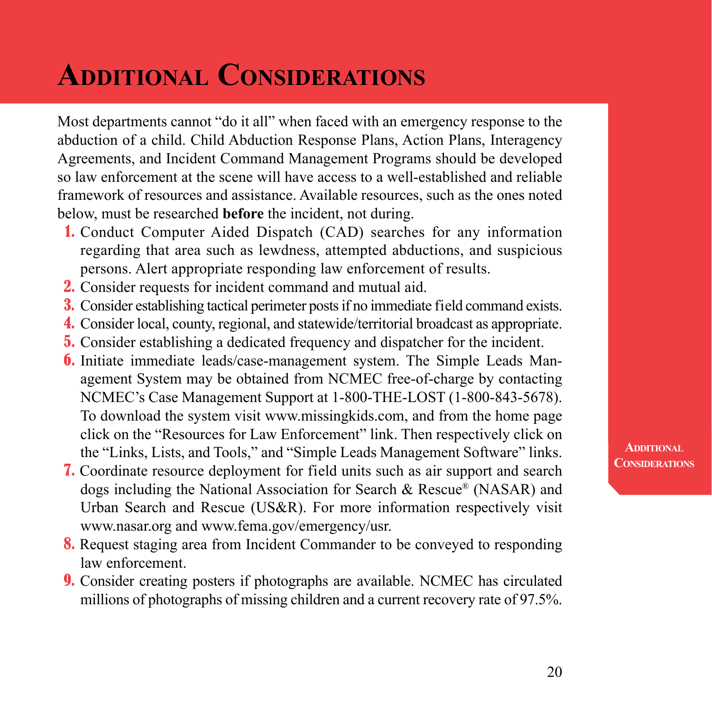## **Additional Considerations**

Most departments cannot "do it all" when faced with an emergency response to the abduction of a child. Child Abduction Response Plans, Action Plans, Interagency Agreements, and Incident Command Management Programs should be developed so law enforcement at the scene will have access to a well-established and reliable framework of resources and assistance. Available resources, such as the ones noted below, must be researched **before** the incident, not during.

- 1. Conduct Computer Aided Dispatch (CAD) searches for any information regarding that area such as lewdness, attempted abductions, and suspicious persons. Alert appropriate responding law enforcement of results.
- 2. Consider requests for incident command and mutual aid.
- 3. Consider establishing tactical perimeter posts if no immediate field command exists.
- 4. Consider local, county, regional, and statewide/territorial broadcast as appropriate.
- 5. Consider establishing a dedicated frequency and dispatcher for the incident.
- 6. Initiate immediate leads/case-management system. The Simple Leads Management System may be obtained from NCMEC free-of-charge by contacting NCMEC's Case Management Support at 1-800-THE-LOST (1-800-843-5678). To download the system visit www.missingkids.com, and from the home page click on the "Resources for Law Enforcement" link. Then respectively click on the "Links, Lists, and Tools," and "Simple Leads Management Software" links.
- 7. Coordinate resource deployment for field units such as air support and search dogs including the National Association for Search & Rescue® (NASAR) and Urban Search and Rescue (US&R). For more information respectively visit www.nasar.org and www.fema.gov/emergency/usr.
- 8. Request staging area from Incident Commander to be conveyed to responding law enforcement.
- 9. Consider creating posters if photographs are available. NCMEC has circulated millions of photographs of missing children and a current recovery rate of 97.5%.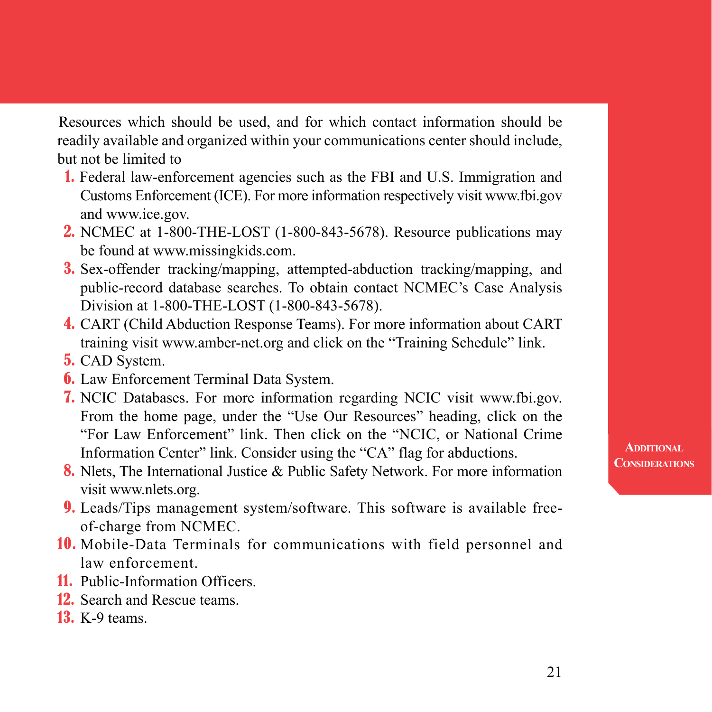Resources which should be used, and for which contact information should be readily available and organized within your communications center should include, but not be limited to

- 1. Federal law-enforcement agencies such as the FBI and U.S. Immigration and Customs Enforcement (ICE). For more information respectively visit www.fbi.gov and www.ice.gov.
- **2.** NCMEC at 1-800-THE-LOST (1-800-843-5678). Resource publications may be found at www.missingkids.com.
- 3. Sex-offender tracking/mapping, attempted-abduction tracking/mapping, and public-record database searches. To obtain contact NCMEC's Case Analysis Division at 1-800-THE-LOST (1-800-843-5678).
- 4. CART (Child Abduction Response Teams). For more information about CART training visit www.amber-net.org and click on the "Training Schedule" link.
- 5. CAD System.
- 6. Law Enforcement Terminal Data System.
- 7. NCIC Databases. For more information regarding NCIC visit www.fbi.gov. From the home page, under the "Use Our Resources" heading, click on the "For Law Enforcement" link. Then click on the "NCIC, or National Crime Information Center" link. Consider using the "CA" flag for abductions.
- 8. Nlets, The International Justice & Public Safety Network. For more information visit www.nlets.org.
- 9. Leads/Tips management system/software. This software is available freeof-charge from NCMEC.
- 10. Mobile-Data Terminals for communications with field personnel and law enforcement.
- 11. Public-Information Officers.
- 12. Search and Rescue teams.
- **13.** K-9 teams.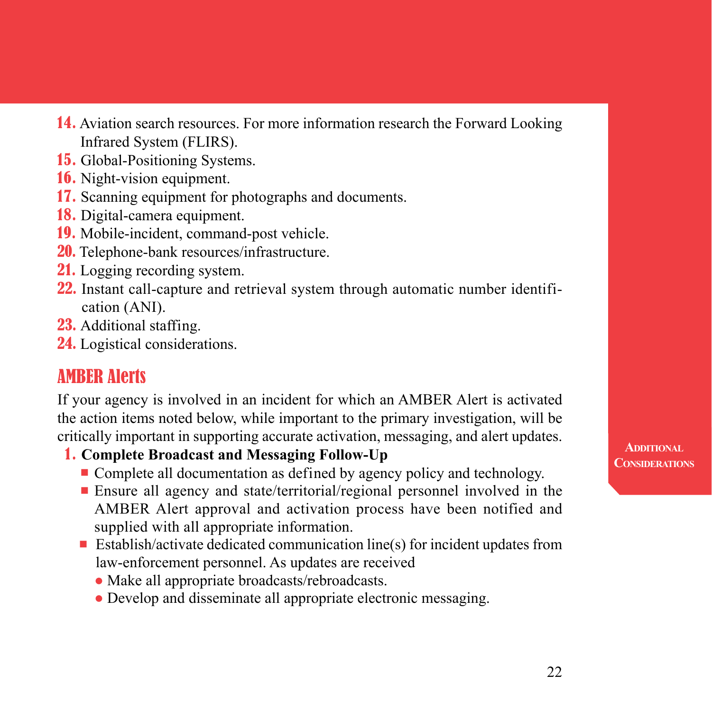- 14. Aviation search resources. For more information research the Forward Looking Infrared System (FLIRS).
- 15. Global-Positioning Systems.
- 16. Night-vision equipment.
- 17. Scanning equipment for photographs and documents.
- 18. Digital-camera equipment.
- 19. Mobile-incident, command-post vehicle.
- 20. Telephone-bank resources/infrastructure.
- 21. Logging recording system.
- 22. Instant call-capture and retrieval system through automatic number identification (ANI).
- 23. Additional staffing.
- 24. Logistical considerations.

## AMBER Alerts

If your agency is involved in an incident for which an AMBER Alert is activated the action items noted below, while important to the primary investigation, will be critically important in supporting accurate activation, messaging, and alert updates.

- 1. **Complete Broadcast and Messaging Follow-Up**
	- Complete all documentation as defined by agency policy and technology.
	- Ensure all agency and state/territorial/regional personnel involved in the AMBER Alert approval and activation process have been notified and supplied with all appropriate information.
	- n Establish/activate dedicated communication line(s) for incident updates from law-enforcement personnel. As updates are received
		- Make all appropriate broadcasts/rebroadcasts.
		- Develop and disseminate all appropriate electronic messaging.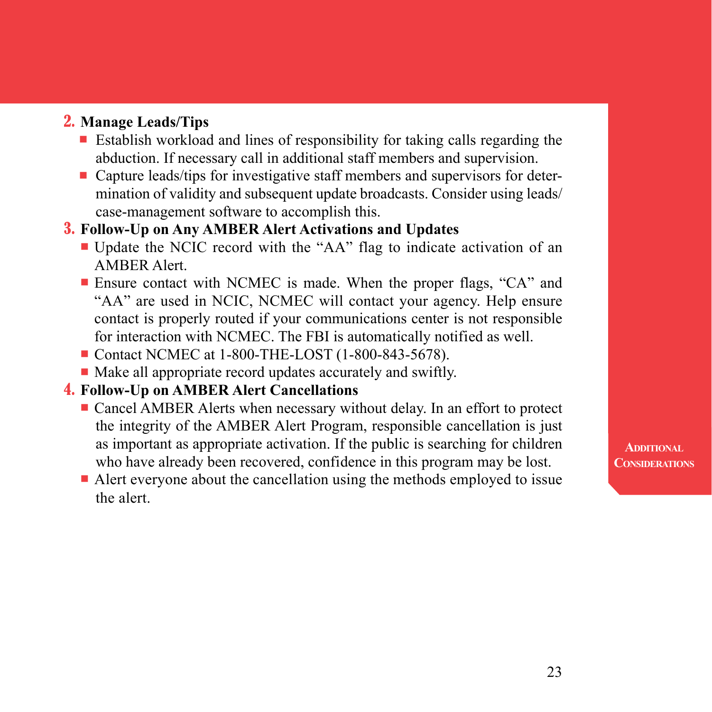#### 2. **Manage Leads/Tips**

- Establish workload and lines of responsibility for taking calls regarding the abduction. If necessary call in additional staff members and supervision.
- n Capture leads/tips for investigative staff members and supervisors for determination of validity and subsequent update broadcasts. Consider using leads/ case-management software to accomplish this.

#### 3. **Follow-Up on Any AMBER Alert Activations and Updates**

- n Update the NCIC record with the "AA" flag to indicate activation of an AMBER Alert.
- Ensure contact with NCMEC is made. When the proper flags, "CA" and "AA" are used in NCIC, NCMEC will contact your agency. Help ensure contact is properly routed if your communications center is not responsible for interaction with NCMEC. The FBI is automatically notified as well.
- Contact NCMEC at 1-800-THE-LOST (1-800-843-5678).
- $\blacksquare$  Make all appropriate record updates accurately and swiftly.

### 4. **Follow-Up on AMBER Alert Cancellations**

- **Example 2** Cancel AMBER Alerts when necessary without delay. In an effort to protect the integrity of the AMBER Alert Program, responsible cancellation is just as important as appropriate activation. If the public is searching for children who have already been recovered, confidence in this program may be lost.
- $\blacksquare$  Alert everyone about the cancellation using the methods employed to issue the alert.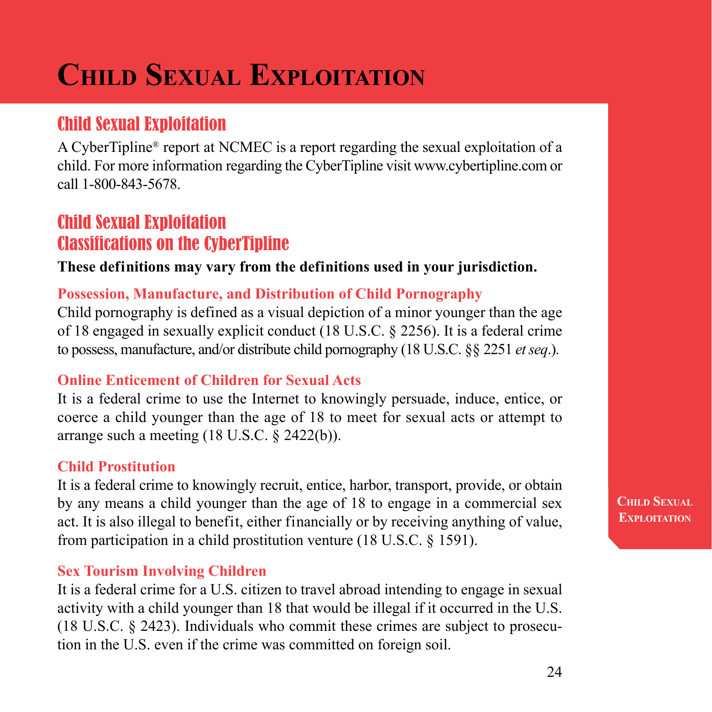## **Child Sexual Exploitation**

## Child Sexual Exploitation

A CyberTipline® report at NCMEC is a report regarding the sexual exploitation of a child. For more information regarding the CyberTipline visit www.cybertipline.com or call 1-800-843-5678.

## Child Sexual Exploitation Classifications on the CyberTipline

#### **These definitions may vary from the definitions used in your jurisdiction.**

#### **Possession, Manufacture, and Distribution of Child Pornography**

Child pornography is defined as a visual depiction of a minor younger than the age of 18 engaged in sexually explicit conduct (18 U.S.C. § 2256). It is a federal crime to possess, manufacture, and/or distribute child pornography (18 U.S.C. §§ 2251 *et seq*.).

#### **Online Enticement of Children for Sexual Acts**

It is a federal crime to use the Internet to knowingly persuade, induce, entice, or coerce a child younger than the age of 18 to meet for sexual acts or attempt to arrange such a meeting (18 U.S.C. § 2422(b)).

#### **Child Prostitution**

It is a federal crime to knowingly recruit, entice, harbor, transport, provide, or obtain by any means a child younger than the age of 18 to engage in a commercial sex act. It is also illegal to benefit, either financially or by receiving anything of value, from participation in a child prostitution venture (18 U.S.C. § 1591).

#### **Sex Tourism Involving Children**

It is a federal crime for a U.S. citizen to travel abroad intending to engage in sexual activity with a child younger than 18 that would be illegal if it occurred in the U.S. (18 U.S.C. § 2423). Individuals who commit these crimes are subject to prosecution in the U.S. even if the crime was committed on foreign soil.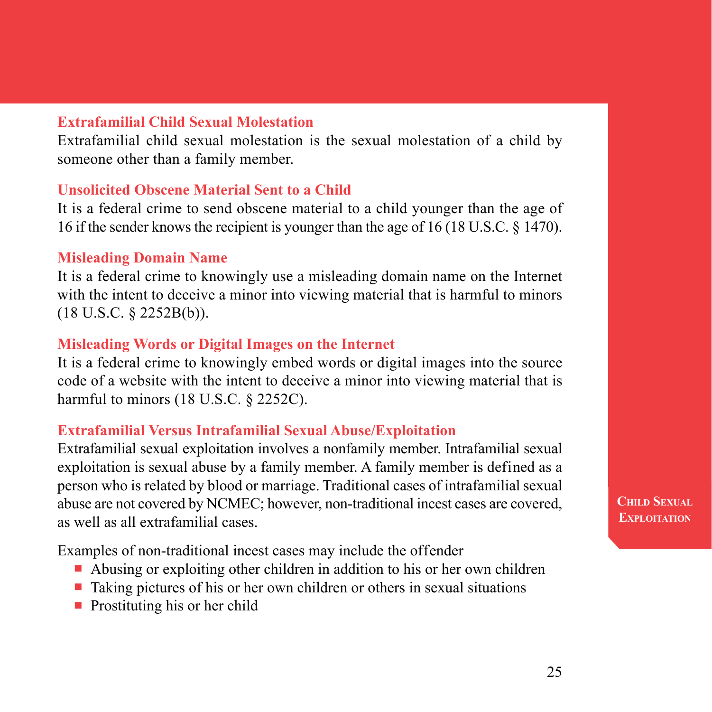#### **Extrafamilial Child Sexual Molestation**

Extrafamilial child sexual molestation is the sexual molestation of a child by someone other than a family member.

#### **Unsolicited Obscene Material Sent to a Child**

It is a federal crime to send obscene material to a child younger than the age of 16 if the sender knows the recipient is younger than the age of 16 (18 U.S.C. § 1470).

#### **Misleading Domain Name**

It is a federal crime to knowingly use a misleading domain name on the Internet with the intent to deceive a minor into viewing material that is harmful to minors (18 U.S.C. § 2252B(b)).

#### **Misleading Words or Digital Images on the Internet**

It is a federal crime to knowingly embed words or digital images into the source code of a website with the intent to deceive a minor into viewing material that is harmful to minors (18 U.S.C. § 2252C).

#### **Extrafamilial Versus Intrafamilial Sexual Abuse/Exploitation**

Extrafamilial sexual exploitation involves a nonfamily member. Intrafamilial sexual exploitation is sexual abuse by a family member. A family member is defined as a person who is related by blood or marriage. Traditional cases of intrafamilial sexual abuse are not covered by NCMEC; however, non-traditional incest cases are covered, as well as all extrafamilial cases.

Examples of non-traditional incest cases may include the offender

- Abusing or exploiting other children in addition to his or her own children
- $\blacksquare$  Taking pictures of his or her own children or others in sexual situations
- $\blacksquare$  Prostituting his or her child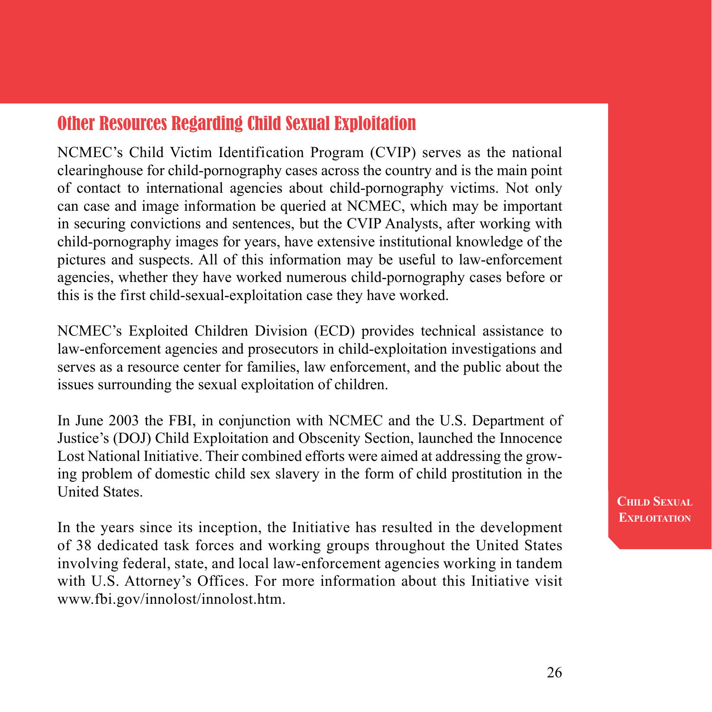## Other Resources Regarding Child Sexual Exploitation

NCMEC's Child Victim Identification Program (CVIP) serves as the national clearinghouse for child-pornography cases across the country and is the main point of contact to international agencies about child-pornography victims. Not only can case and image information be queried at NCMEC, which may be important in securing convictions and sentences, but the CVIP Analysts, after working with child-pornography images for years, have extensive institutional knowledge of the pictures and suspects. All of this information may be useful to law-enforcement agencies, whether they have worked numerous child-pornography cases before or this is the first child-sexual-exploitation case they have worked.

NCMEC's Exploited Children Division (ECD) provides technical assistance to law-enforcement agencies and prosecutors in child-exploitation investigations and serves as a resource center for families, law enforcement, and the public about the issues surrounding the sexual exploitation of children.

In June 2003 the FBI, in conjunction with NCMEC and the U.S. Department of Justice's (DOJ) Child Exploitation and Obscenity Section, launched the Innocence Lost National Initiative. Their combined efforts were aimed at addressing the growing problem of domestic child sex slavery in the form of child prostitution in the United States.

In the years since its inception, the Initiative has resulted in the development of 38 dedicated task forces and working groups throughout the United States involving federal, state, and local law-enforcement agencies working in tandem with U.S. Attorney's Offices. For more information about this Initiative visit www.fbi.gov/innolost/innolost.htm.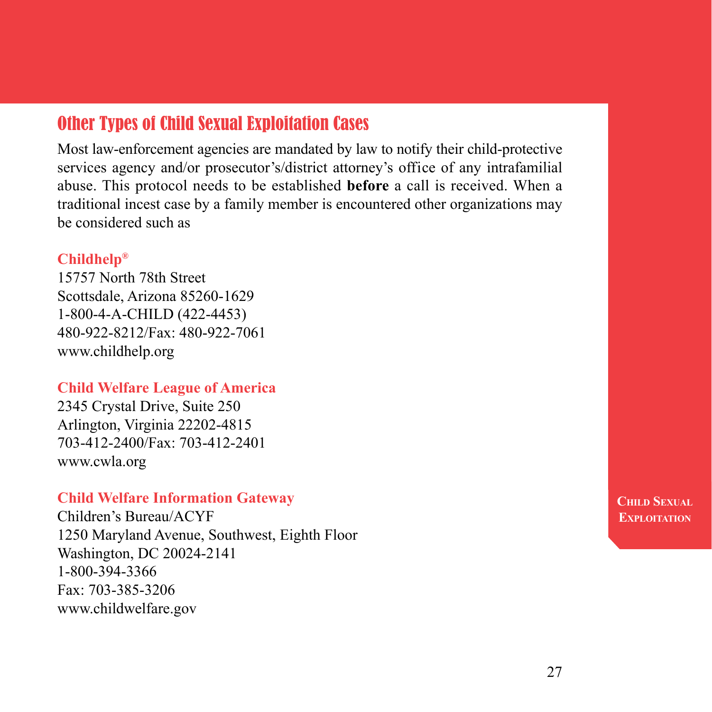## Other Types of Child Sexual Exploitation Cases

Most law-enforcement agencies are mandated by law to notify their child-protective services agency and/or prosecutor's/district attorney's office of any intrafamilial abuse. This protocol needs to be established **before** a call is received. When a traditional incest case by a family member is encountered other organizations may be considered such as

#### **Childhelp®**

15757 North 78th Street Scottsdale, Arizona 85260-1629 1-800-4-A-CHILD (422-4453) 480-922-8212/Fax: 480-922-7061 www.childhelp.org

#### **Child Welfare League of America**

2345 Crystal Drive, Suite 250 Arlington, Virginia 22202-4815 703-412-2400/Fax: 703-412-2401 www.cwla.org

#### **Child Welfare Information Gateway**

Children's Bureau/ACYF 1250 Maryland Avenue, Southwest, Eighth Floor Washington, DC 20024-2141 1-800-394-3366 Fax: 703-385-3206 www.childwelfare.gov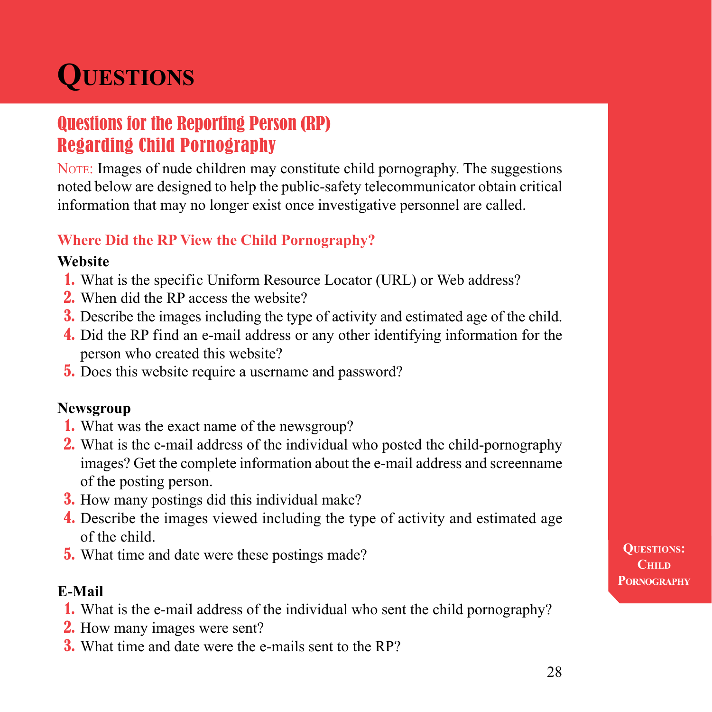## **Questions**

## Questions for the Reporting Person (RP) Regarding Child Pornography

NOTE: Images of nude children may constitute child pornography. The suggestions noted below are designed to help the public-safety telecommunicator obtain critical information that may no longer exist once investigative personnel are called.

#### **Where Did the RP View the Child Pornography?**

#### **Website**

- 1. What is the specific Uniform Resource Locator (URL) or Web address?
- 2. When did the RP access the website?
- 3. Describe the images including the type of activity and estimated age of the child.
- 4. Did the RP find an e-mail address or any other identifying information for the person who created this website?
- 5. Does this website require a username and password?

#### **Newsgroup**

- 1. What was the exact name of the newsgroup?
- 2. What is the e-mail address of the individual who posted the child-pornography images? Get the complete information about the e-mail address and screenname of the posting person.
- 3. How many postings did this individual make?
- 4. Describe the images viewed including the type of activity and estimated age of the child.
- 5. What time and date were these postings made?

#### **E-Mail**

- 1. What is the e-mail address of the individual who sent the child pornography?
- 2. How many images were sent?
- 3. What time and date were the e-mails sent to the RP?

**Questions: Child Pornography**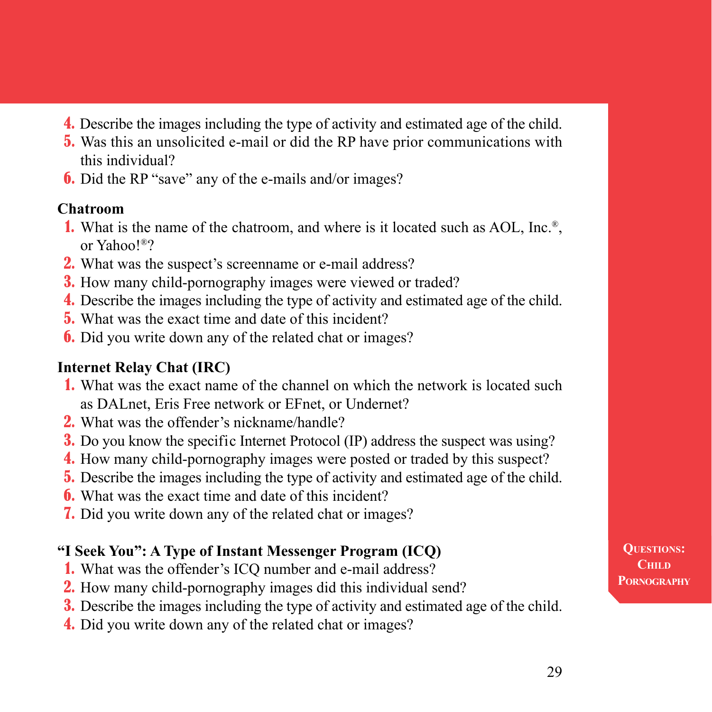- 4. Describe the images including the type of activity and estimated age of the child.
- 5. Was this an unsolicited e-mail or did the RP have prior communications with this individual?
- **6.** Did the RP "save" any of the e-mails and/or images?

#### **Chatroom**

- 1. What is the name of the chatroom, and where is it located such as AOL, Inc.®, or Yahoo!®?
- 2. What was the suspect's screenname or e-mail address?
- 3. How many child-pornography images were viewed or traded?
- 4. Describe the images including the type of activity and estimated age of the child.
- 5. What was the exact time and date of this incident?
- 6. Did you write down any of the related chat or images?

### **Internet Relay Chat (IRC)**

- 1. What was the exact name of the channel on which the network is located such as DALnet, Eris Free network or EFnet, or Undernet?
- 2. What was the offender's nickname/handle?
- 3. Do you know the specific Internet Protocol (IP) address the suspect was using?
- 4. How many child-pornography images were posted or traded by this suspect?
- 5. Describe the images including the type of activity and estimated age of the child.
- 6. What was the exact time and date of this incident?
- 7. Did you write down any of the related chat or images?

### **"I Seek You": A Type of Instant Messenger Program (ICQ)**

- 1. What was the offender's ICQ number and e-mail address?
- 2. How many child-pornography images did this individual send?
- 3. Describe the images including the type of activity and estimated age of the child.
- 4. Did you write down any of the related chat or images?

**Questions:** C<sub>HILD</sub> **Pornography**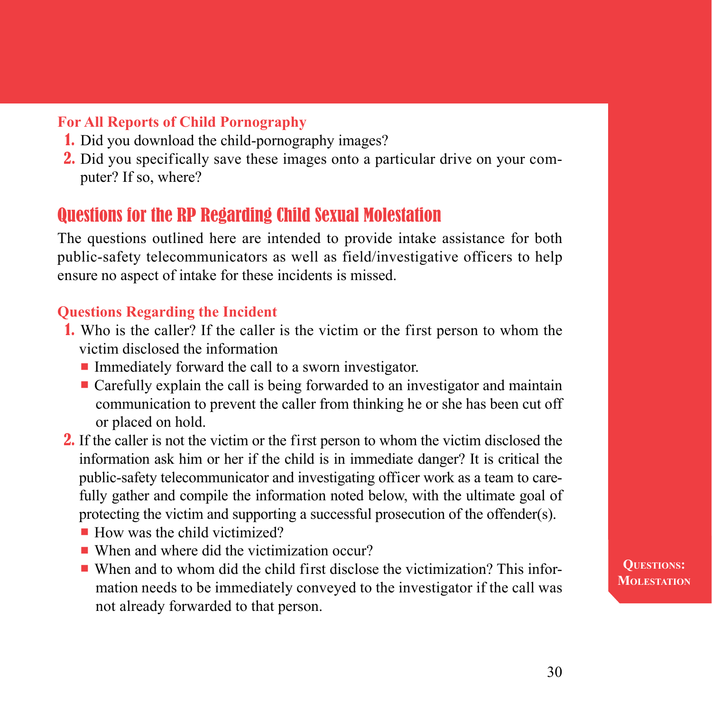#### **For All Reports of Child Pornography**

- 1. Did you download the child-pornography images?
- 2. Did you specifically save these images onto a particular drive on your computer? If so, where?

## Questions for the RP Regarding Child Sexual Molestation

The questions outlined here are intended to provide intake assistance for both public-safety telecommunicators as well as field/investigative officers to help ensure no aspect of intake for these incidents is missed.

#### **Questions Regarding the Incident**

- 1. Who is the caller? If the caller is the victim or the first person to whom the victim disclosed the information
	- $\blacksquare$  Immediately forward the call to a sworn investigator.
	- $\blacksquare$  Carefully explain the call is being forwarded to an investigator and maintain communication to prevent the caller from thinking he or she has been cut off or placed on hold.
- **2.** If the caller is not the victim or the first person to whom the victim disclosed the information ask him or her if the child is in immediate danger? It is critical the public-safety telecommunicator and investigating officer work as a team to carefully gather and compile the information noted below, with the ultimate goal of protecting the victim and supporting a successful prosecution of the offender(s).
	- $\blacksquare$  How was the child victimized?
	- $\blacksquare$  When and where did the victimization occur?
	- $\blacksquare$  When and to whom did the child first disclose the victimization? This information needs to be immediately conveyed to the investigator if the call was not already forwarded to that person.

**Questions: Molestation**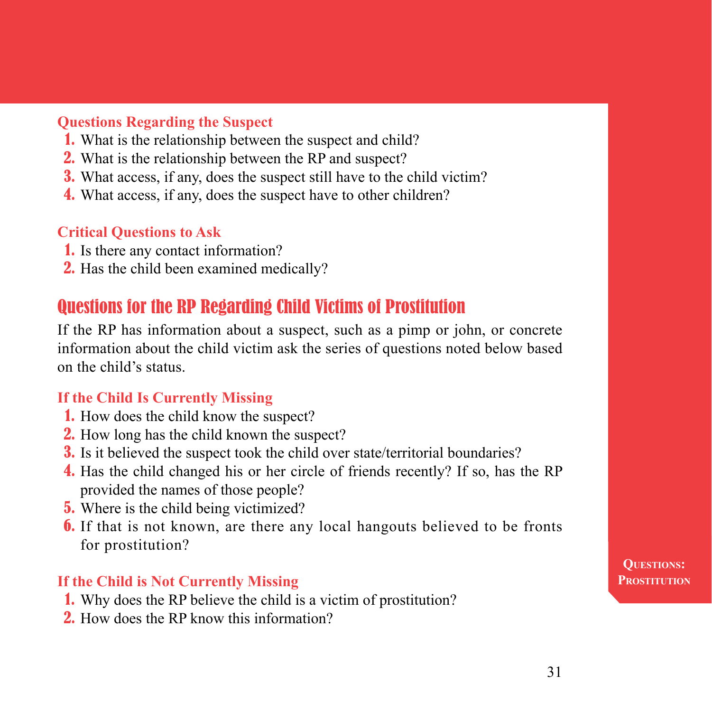#### **Questions Regarding the Suspect**

- 1. What is the relationship between the suspect and child?
- 2. What is the relationship between the RP and suspect?
- 3. What access, if any, does the suspect still have to the child victim?
- 4. What access, if any, does the suspect have to other children?

#### **Critical Questions to Ask**

- 1. Is there any contact information?
- 2. Has the child been examined medically?

## Questions for the RP Regarding Child Victims of Prostitution

If the RP has information about a suspect, such as a pimp or john, or concrete information about the child victim ask the series of questions noted below based on the child's status.

#### **If the Child Is Currently Missing**

- 1. How does the child know the suspect?
- 2. How long has the child known the suspect?
- 3. Is it believed the suspect took the child over state/territorial boundaries?
- 4. Has the child changed his or her circle of friends recently? If so, has the RP provided the names of those people?
- **5.** Where is the child being victimized?
- 6. If that is not known, are there any local hangouts believed to be fronts for prostitution?

#### **If the Child is Not Currently Missing**

- 1. Why does the RP believe the child is a victim of prostitution?
- 2. How does the RP know this information?

**Questions: Prostitution**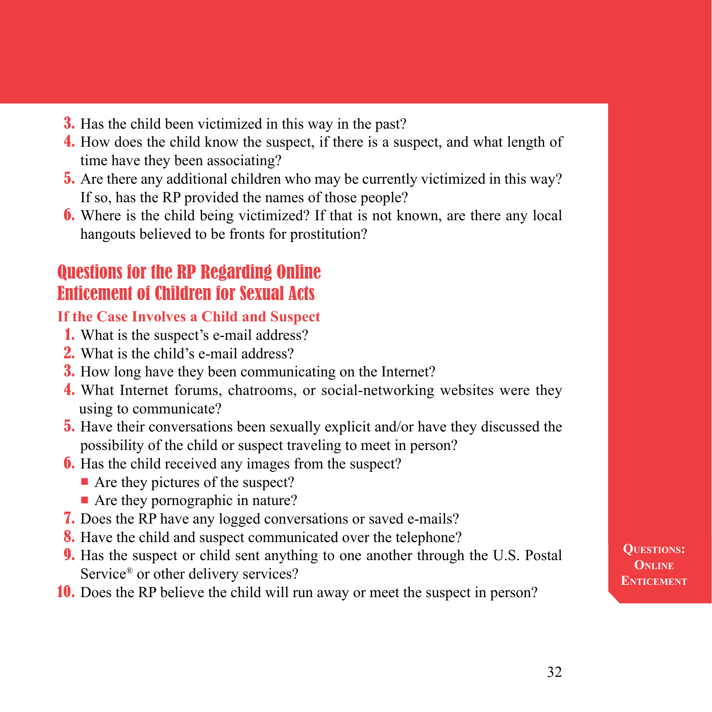- 3. Has the child been victimized in this way in the past?
- 4. How does the child know the suspect, if there is a suspect, and what length of time have they been associating?
- 5. Are there any additional children who may be currently victimized in this way? If so, has the RP provided the names of those people?
- 6. Where is the child being victimized? If that is not known, are there any local hangouts believed to be fronts for prostitution?

## Questions for the RP Regarding Online Enticement of Children for Sexual Acts

#### **If the Case Involves a Child and Suspect**

- 1. What is the suspect's e-mail address?
- 2. What is the child's e-mail address?
- 3. How long have they been communicating on the Internet?
- 4. What Internet forums, chatrooms, or social-networking websites were they using to communicate?
- 5. Have their conversations been sexually explicit and/or have they discussed the possibility of the child or suspect traveling to meet in person?
- **6.** Has the child received any images from the suspect?
	- $\blacksquare$  Are they pictures of the suspect?
	- $\blacksquare$  Are they pornographic in nature?
- 7. Does the RP have any logged conversations or saved e-mails?
- 8. Have the child and suspect communicated over the telephone?
- 9. Has the suspect or child sent anything to one another through the U.S. Postal Service<sup>®</sup> or other delivery services?
- 10. Does the RP believe the child will run away or meet the suspect in person?

**Questions: Online ENTICEMENT**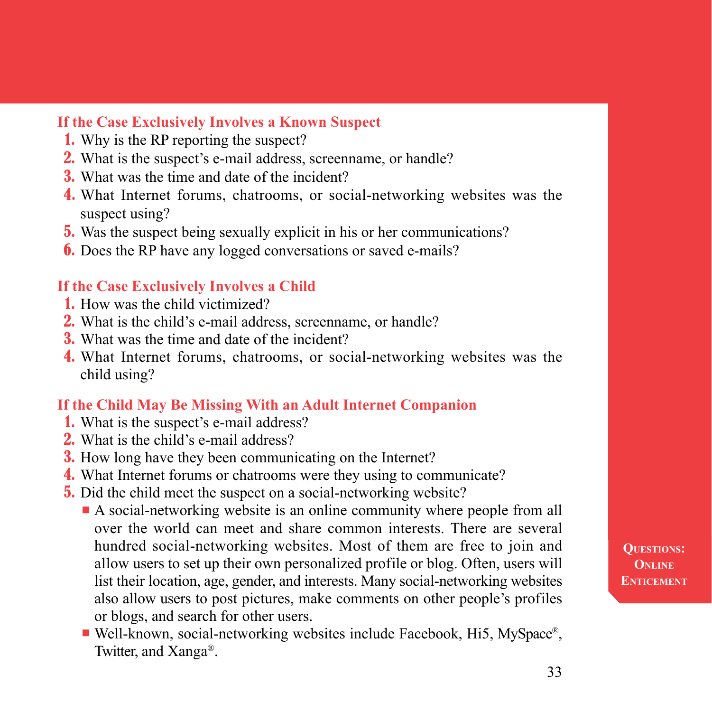#### **If the Case Exclusively Involves a Known Suspect**

- 1. Why is the RP reporting the suspect?
- 2. What is the suspect's e-mail address, screenname, or handle?
- 3. What was the time and date of the incident?
- 4. What Internet forums, chatrooms, or social-networking websites was the suspect using?
- 5. Was the suspect being sexually explicit in his or her communications?
- **6.** Does the RP have any logged conversations or saved e-mails?

#### **If the Case Exclusively Involves a Child**

- 1. How was the child victimized?
- 2. What is the child's e-mail address, screenname, or handle?
- 3. What was the time and date of the incident?
- 4. What Internet forums, chatrooms, or social-networking websites was the child using?

#### **If the Child May Be Missing With an Adult Internet Companion**

- 1. What is the suspect's e-mail address?
- 2. What is the child's e-mail address?
- 3. How long have they been communicating on the Internet?
- 4. What Internet forums or chatrooms were they using to communicate?
- 5. Did the child meet the suspect on a social-networking website?
	- n A social-networking website is an online community where people from all over the world can meet and share common interests. There are several hundred social-networking websites. Most of them are free to join and allow users to set up their own personalized profile or blog. Often, users will list their location, age, gender, and interests. Many social-networking websites also allow users to post pictures, make comments on other people's profiles or blogs, and search for other users.
	- $\blacksquare$  Well-known, social-networking websites include Facebook, Hi5, MySpace<sup>®</sup>, Twitter, and Xanga®.

**Questions: Online ENTICEMENT**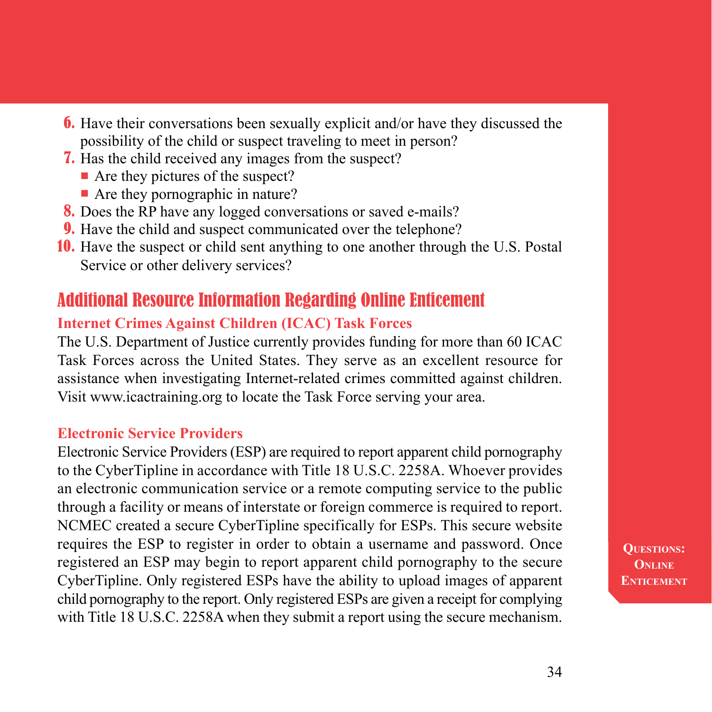- 6. Have their conversations been sexually explicit and/or have they discussed the possibility of the child or suspect traveling to meet in person?
- 7. Has the child received any images from the suspect?
	- $\blacksquare$  Are they pictures of the suspect?
	- $\blacksquare$  Are they pornographic in nature?
- 8. Does the RP have any logged conversations or saved e-mails?
- **9.** Have the child and suspect communicated over the telephone?
- 10. Have the suspect or child sent anything to one another through the U.S. Postal Service or other delivery services?

## Additional Resource Information Regarding Online Enticement

#### **Internet Crimes Against Children (ICAC) Task Forces**

The U.S. Department of Justice currently provides funding for more than 60 ICAC Task Forces across the United States. They serve as an excellent resource for assistance when investigating Internet-related crimes committed against children. Visit www.icactraining.org to locate the Task Force serving your area.

#### **Electronic Service Providers**

Electronic Service Providers (ESP) are required to report apparent child pornography to the CyberTipline in accordance with Title 18 U.S.C. 2258A. Whoever provides an electronic communication service or a remote computing service to the public through a facility or means of interstate or foreign commerce is required to report. NCMEC created a secure CyberTipline specifically for ESPs. This secure website requires the ESP to register in order to obtain a username and password. Once registered an ESP may begin to report apparent child pornography to the secure CyberTipline. Only registered ESPs have the ability to upload images of apparent child pornography to the report. Only registered ESPs are given a receipt for complying with Title 18 U.S.C. 2258A when they submit a report using the secure mechanism.

**Questions: Online ENTICEMENT**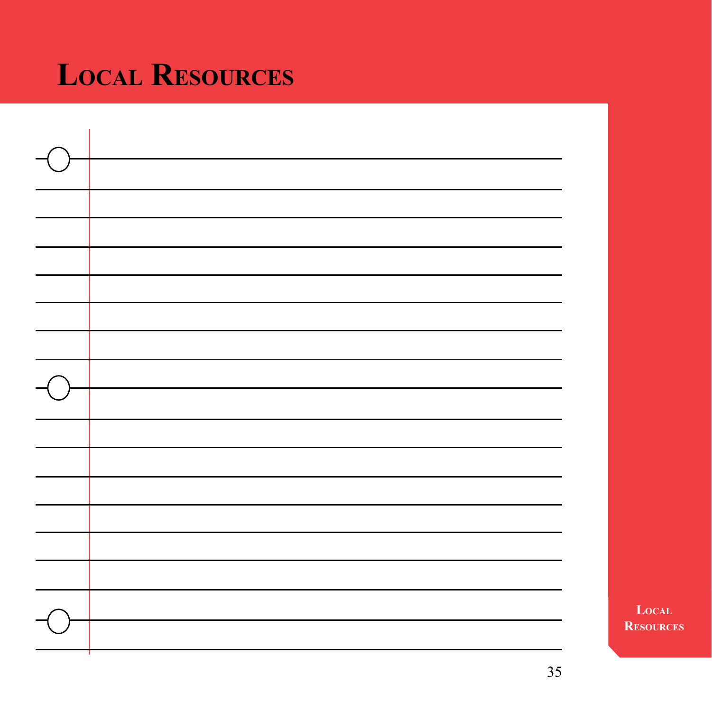## **Local Resources**

**Local Resources**